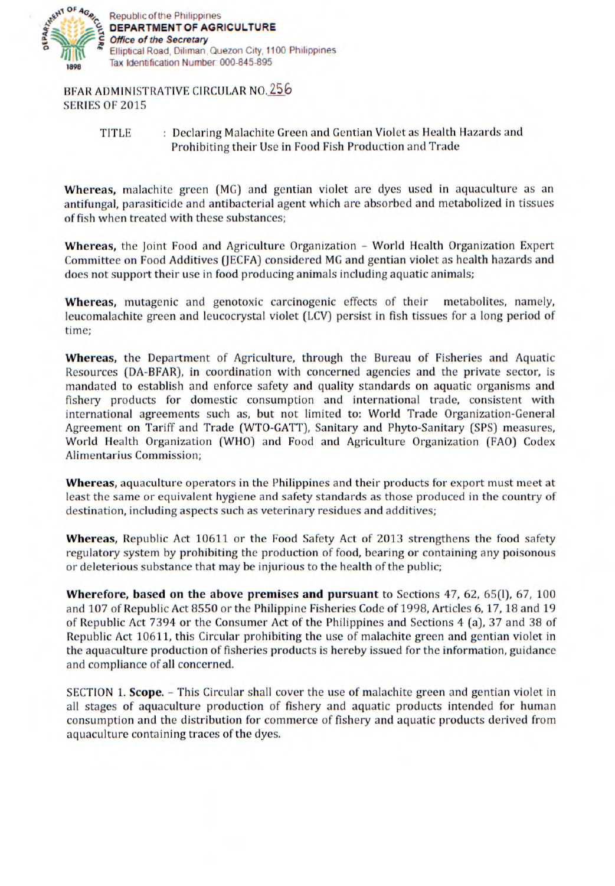

BFAR ADMINISTRATIVE CIRCULAR NO. 256 SERIES OF 2015

## TITLE : Declaring Malachite Green and Gentian Violet as Health Hazards and Prohibiting their Use in Food Fish Production and Trade

**Whereas,** malachite green (MG) and gentian violet are dyes used in aquaculture as an antifungal, parasiticide and antibacterial agent which are absorbed and metabolized in tissues of fish when treated with these substances;

**Whereas,** the Joint Food and Agriculture Organization - World Health Organization Expert Committee on Food Additives (JECFA) considered MG and gentian violet as health hazards and does not support their use in food producing animals including aquatic animals;

**Whereas,** mutagenic and genotoxic carcinogenic effects of their metabolites, namely, leucomalachite green and leucocrystal violet (LCV) persist in fish tissues for a long period of time;

**Whereas,** the Department of Agriculture, through the Bureau of Fisheries and Aquatic Resources (DA-BFAR), in coordination with concerned agencies and the private sector, is mandated to establish and enforce safety and quality standards on aquatic organisms and fishery products for domestic consumption and international trade, consistent with international agreements such as, but not limited to: World Trade Organization-General Agreement on Tariff and Trade (WTO-GATT), Sanitary and Phyto-Sanitary (SPS) measures, World Health Organization (WHO) and Food and Agriculture Organization (FAO) Codex Alirnentarius Commission;

**Whereas,** aquaculture operators in the Philippines and their products for export must meet at least the same or equivalent hygiene and safety standards as those produced in the country of destination, including aspects such as veterinary residues and additives;

**Whereas,** Republic Act 10611 or the Food Safety Act of 2013 strengthens the food safety regulatory system by prohibiting the production of food, bearing or containing any poisonous or deleterious substance that may be injurious to the health of the public;

**Wherefore, based on the above premises and pursuant** to Sections 47, 62, 65(1), 67, 100 and 107 of Republic Act 8550 or the Philippine Fisheries Code of 1998, Articles 6, 17, 18 and 19 of Republic Act 7394 or the Consumer Act of the Philippines and Sections *4* (a), 37 and 38 of Republic Act 10611, this Circular prohibiting the use of malachite green and gentian violet in the aquaculture production of fisheries products is hereby issued for the information, guidance and compliance of all concerned.

SECTION 1. **Scope.** – This Circular shall cover the use of malachite green and gentian violet in all stages of aquaculture production of fishery and aquatic products intended for human consumption and the distribution for commerce of fishery and aquatic products derived from aquaculture containing traces of the dyes.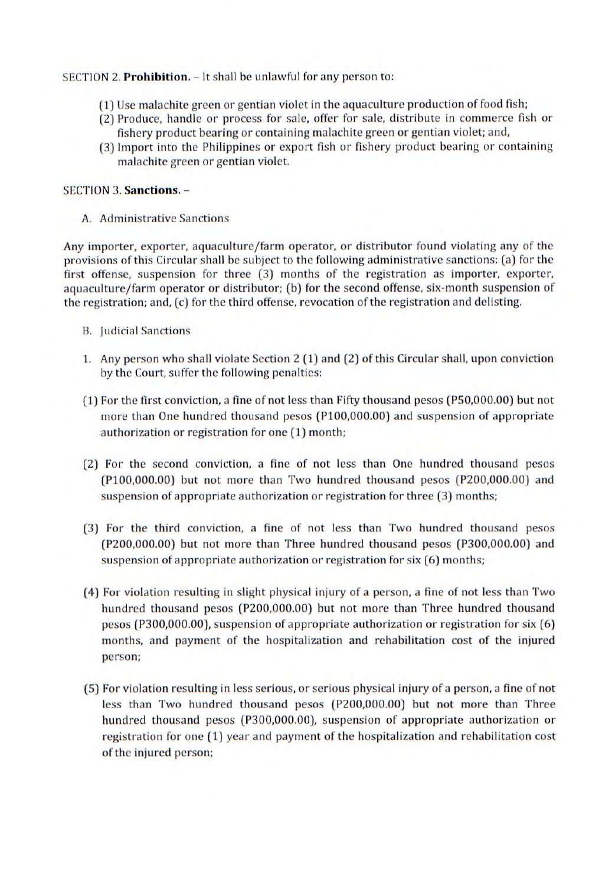## SECTION 2. **Prohibition.** - It shall be unlawful for any person to:

- (1) Use malachite green or gentian violet in the aquaculture production of food *fish;*
- (2) Produce, handle or process for sale, offer for sale, distribute in commerce fish or fishery product bearing or containing malachite green or gentian violet; and,
- (3) Import into the Philippines or export fish or fishery product bearing or containing malachite green or gentian violet.

## SECTION 3. **Sanctions.** -

A. Administrative Sanctions

Any importer, exporter, aquaculture/farm operator, or distributor found violating any of the provisions of this Circular shall be subject to the following administrative sanctions: (a) for the first offense, suspension for three (3) months of the registration as importer, exporter, aquaculture/farm operator or distributor; (b) for the second offense, six-month suspension of the registration; and, (c) for the third offense, revocation of the registration and delisting.

- B. Judicial Sanctions
- 1. Any person who shall violate Section 2 (1) and (2) of this Circular shall, upon conviction by the Court, suffer the following penalties:
- (1) For the first conviction, a fine of not less than Fifty thousand pesos (P50,000.00) but not more than One hundred thousand pesos (P100,000.00) and suspension of appropriate authorization or registration for one (1) month;
- (2) For the second conviction, a fine of not less than One hundred thousand pesos (P100,000.00) but not more than Two hundred thousand pesos (P200,000.00) and suspension of appropriate authorization or registration for three (3) months;
- (3) For the third conviction, a fine of not less than Two hundred thousand pesos (P200,000.00) but not more than Three hundred thousand pesos (P300,000.00) and suspension of appropriate authorization or registration for six (6) months;
- (4) For violation resulting in slight physical injury of a person, a fine of not less than Two hundred thousand pesos (P200,000.00) but not more than Three hundred thousand pesos (P300,000.00), suspension of appropriate authorization or registration for six (6) months, and payment of the hospitalization and rehabilitation cost of the injured person;
- (5) For violation resulting in less serious, or serious physical injury of a person, a fine of not less than Two hundred thousand pesos (P200,000.00) but not more than Three hundred thousand pesos (P300,000.00), suspension of appropriate authorization or registration for one (1) year and payment of the hospitalization and rehabilitation cost of the injured person;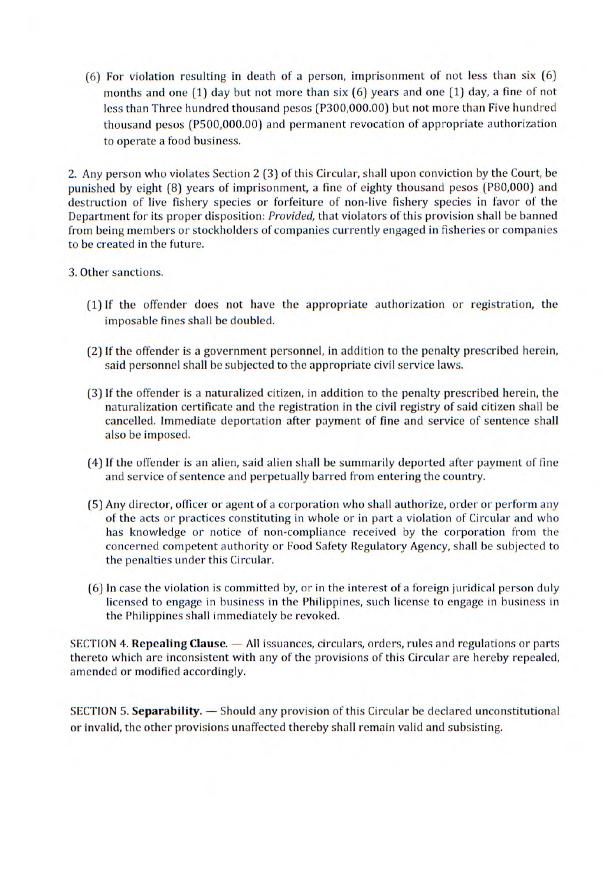(6) For violation resulting in death of a person, imprisonment of not less than six (6) months and one (1) day but not more than six (6) years and one (1) day, a fine of not less than Three hundred thousand pesos (P300,000.00) but not more than Five hundred thousand pesos (P500,000.00) and permanent revocation of appropriate authorization to operate a food business.

2. Any person who violates Section 2 (3) of this Circular, shall upon conviction by the Court, be punished by eight (8) years of imprisonment, a fine of eighty thousand pesos (P80,000) and destruction of live fishery species or forfeiture of non-live fishery species in favor of the Department for its proper disposition: *Provided,* that violators of this provision shall be banned from being members or stockholders of companies currently engaged in fisheries or companies to be created in the future.

## 3. Other sanctions.

- (1) If the offender does not have the appropriate authorization or registration, the imposable fines shall be doubled.
- (2) If the offender is a government personnel, in addition to the penalty prescribed herein, said personnel shall be subjected to the appropriate civil service laws.
- (3) If the offender is a naturalized citizen, in addition to the penalty prescribed herein, the naturalization certificate and the registration in the civil registry of said citizen shall be cancelled. Immediate deportation after payment of fine and service of sentence shall also be imposed.
- (4) If the offender is an alien, said alien shall be summarily deported after payment of fine and service of sentence and perpetually barred from entering the country.
- (5) Any director, officer or agent of a corporation who shall authorize, order or perform any of the acts or practices constituting in whole or in part a violation of Circular and who has knowledge or notice of non-compliance received by the corporation from the concerned competent authority or Food Safety Regulatory Agency, shall be subjected to the penalties under this Circular.
- (6) In case the violation is committed by, or in the interest of a foreign juridical person duly licensed to engage in business in the Philippines, such license to engage in business in the Philippines shall immediately be revoked.

SECTION *4.* **Repealing Clause.** - All issuances, circulars, orders, rules and regulations or parts thereto which are inconsistent with any of the provisions of this Circular are hereby repealed, amended or modified accordingly.

SECTION 5. Separability. - Should any provision of this Circular be declared unconstitutional or invalid, the other provisions unaffected thereby shall remain valid and subsisting.